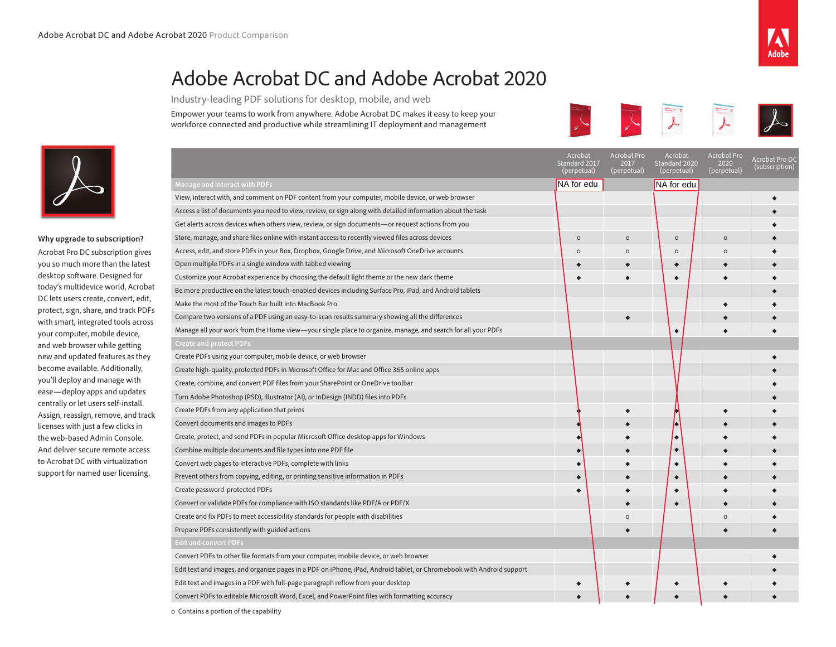## Adobe Acrobat DC and Adobe Acrobat 2020

Industry-leading PDF solutions for desktop, mobile, and web

Empower your teams to work from anywhere. Adobe Acrobat DC makes it easy to keep your workforce connected and productive while streamlining IT deployment and management





**Why upgrade to subscription?**

Acrobat Pro DC subscription gives you so much more than the latest desktop software. Designed for today's multidevice world, Acrobat DC lets users create, convert, edit, protect, sign, share, and track PDFs with smart, integrated tools across your computer, mobile device, and web browser while getting new and updated features as they become available. Additionally, you'll deploy and manage with ease—deploy apps and updates centrally or let users self-install. Assign, reassign, remove, and track licenses with just a few clicks in the web-based Admin Console. And deliver secure remote access to Acrobat DC with virtualization support for named user licensing.

|                                                                                                                       | ACIODAL<br>Standard 2017<br>(perpetual) | <b>ACIODAL PIO</b><br>2017<br>(perpetual) | Aciopal<br>Standard 2020<br>(perpetual) | <b>ACIODAL PIO</b><br>2020<br>(perpetual) | Acrobat Pro DC<br>(subscription) |
|-----------------------------------------------------------------------------------------------------------------------|-----------------------------------------|-------------------------------------------|-----------------------------------------|-------------------------------------------|----------------------------------|
| <b>Manage and interact with PDFs</b>                                                                                  | NA for edu                              |                                           | NA for edu                              |                                           |                                  |
| View, interact with, and comment on PDF content from your computer, mobile device, or web browser                     |                                         |                                           |                                         |                                           |                                  |
| Access a list of documents you need to view, review, or sign along with detailed information about the task           |                                         |                                           |                                         |                                           |                                  |
| Get alerts across devices when others view, review, or sign documents—or request actions from you                     |                                         |                                           |                                         |                                           |                                  |
| Store, manage, and share files online with instant access to recently viewed files across devices                     | $\circ$                                 | $\circ$                                   | $\circ$                                 | $\circ$                                   |                                  |
| Access, edit, and store PDFs in your Box, Dropbox, Google Drive, and Microsoft OneDrive accounts                      | $\Omega$                                | $\mathsf O$                               | $\circ$                                 | $\Omega$                                  |                                  |
| Open multiple PDFs in a single window with tabbed viewing                                                             |                                         |                                           |                                         |                                           |                                  |
| Customize your Acrobat experience by choosing the default light theme or the new dark theme                           |                                         |                                           |                                         |                                           |                                  |
| Be more productive on the latest touch-enabled devices including Surface Pro, iPad, and Android tablets               |                                         |                                           |                                         |                                           |                                  |
| Make the most of the Touch Bar built into MacBook Pro                                                                 |                                         |                                           |                                         |                                           |                                  |
| Compare two versions of a PDF using an easy-to-scan results summary showing all the differences                       |                                         |                                           |                                         |                                           |                                  |
| Manage all your work from the Home view-your single place to organize, manage, and search for all your PDFs           |                                         |                                           |                                         |                                           |                                  |
| <b>Create and protect PDFs</b>                                                                                        |                                         |                                           |                                         |                                           |                                  |
| Create PDFs using your computer, mobile device, or web browser                                                        |                                         |                                           |                                         |                                           |                                  |
| Create high-quality, protected PDFs in Microsoft Office for Mac and Office 365 online apps                            |                                         |                                           |                                         |                                           |                                  |
| Create, combine, and convert PDF files from your SharePoint or OneDrive toolbar                                       |                                         |                                           |                                         |                                           |                                  |
| Turn Adobe Photoshop (PSD), Illustrator (AI), or InDesign (INDD) files into PDFs                                      |                                         |                                           |                                         |                                           |                                  |
| Create PDFs from any application that prints                                                                          |                                         |                                           |                                         |                                           |                                  |
| Convert documents and images to PDFs                                                                                  |                                         |                                           |                                         |                                           |                                  |
| Create, protect, and send PDFs in popular Microsoft Office desktop apps for Windows                                   |                                         |                                           |                                         |                                           |                                  |
| Combine multiple documents and file types into one PDF file                                                           |                                         |                                           | $\bullet$                               |                                           |                                  |
| Convert web pages to interactive PDFs, complete with links                                                            |                                         |                                           | $\bullet$                               |                                           |                                  |
| Prevent others from copying, editing, or printing sensitive information in PDFs                                       |                                         |                                           | $\bullet$                               |                                           |                                  |
| Create password-protected PDFs                                                                                        |                                         |                                           |                                         |                                           |                                  |
| Convert or validate PDFs for compliance with ISO standards like PDF/A or PDF/X                                        |                                         |                                           |                                         |                                           |                                  |
| Create and fix PDFs to meet accessibility standards for people with disabilities                                      |                                         | $\Omega$                                  |                                         | $\Omega$                                  |                                  |
| Prepare PDFs consistently with guided actions                                                                         |                                         |                                           |                                         |                                           |                                  |
| <b>Edit and convert PDFs</b>                                                                                          |                                         |                                           |                                         |                                           |                                  |
| Convert PDFs to other file formats from your computer, mobile device, or web browser                                  |                                         |                                           |                                         |                                           |                                  |
| Edit text and images, and organize pages in a PDF on iPhone, iPad, Android tablet, or Chromebook with Android support |                                         |                                           |                                         |                                           |                                  |
| Edit text and images in a PDF with full-page paragraph reflow from your desktop                                       |                                         |                                           |                                         |                                           |                                  |
| Convert PDFs to editable Microsoft Word, Excel, and PowerPoint files with formatting accuracy                         |                                         |                                           |                                         |                                           |                                  |
|                                                                                                                       |                                         |                                           |                                         |                                           |                                  |

o Contains a portion of the capability